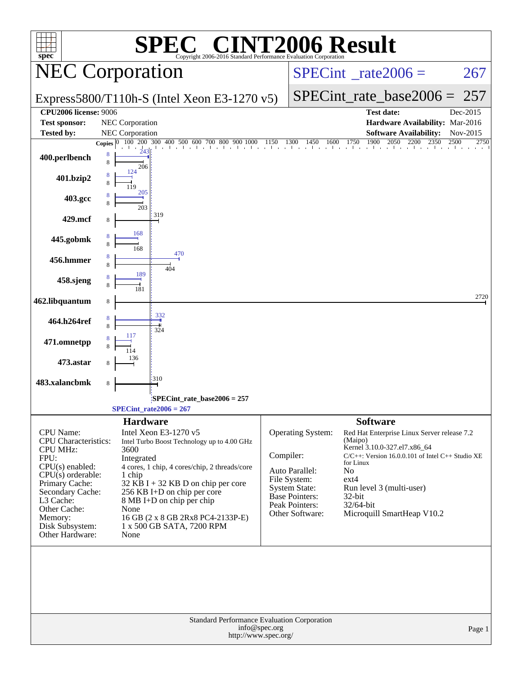| <b>INT2006 Result</b><br>$\blacksquare$<br>spec <sup>®</sup><br>Copyright 2006-2016 Standard Performance Evaluation Corporation                                                                                                   |                                                                                                                                                                                                                                                                                                                                                                |                                                                                                                                                 |                                                                                                                                                                                                                                                                                    |  |  |  |  |  |  |
|-----------------------------------------------------------------------------------------------------------------------------------------------------------------------------------------------------------------------------------|----------------------------------------------------------------------------------------------------------------------------------------------------------------------------------------------------------------------------------------------------------------------------------------------------------------------------------------------------------------|-------------------------------------------------------------------------------------------------------------------------------------------------|------------------------------------------------------------------------------------------------------------------------------------------------------------------------------------------------------------------------------------------------------------------------------------|--|--|--|--|--|--|
|                                                                                                                                                                                                                                   | <b>NEC Corporation</b>                                                                                                                                                                                                                                                                                                                                         |                                                                                                                                                 | $SPECint^{\circ}$ rate $2006 =$<br>267                                                                                                                                                                                                                                             |  |  |  |  |  |  |
|                                                                                                                                                                                                                                   | Express5800/T110h-S (Intel Xeon E3-1270 v5)                                                                                                                                                                                                                                                                                                                    |                                                                                                                                                 | $SPECint_rate\_base2006 =$<br>257                                                                                                                                                                                                                                                  |  |  |  |  |  |  |
| <b>CPU2006 license: 9006</b>                                                                                                                                                                                                      |                                                                                                                                                                                                                                                                                                                                                                |                                                                                                                                                 | <b>Test date:</b><br>Dec-2015                                                                                                                                                                                                                                                      |  |  |  |  |  |  |
| <b>Test sponsor:</b>                                                                                                                                                                                                              | NEC Corporation                                                                                                                                                                                                                                                                                                                                                |                                                                                                                                                 | Hardware Availability: Mar-2016                                                                                                                                                                                                                                                    |  |  |  |  |  |  |
| <b>Tested by:</b>                                                                                                                                                                                                                 | <b>NEC Corporation</b><br>Copies $ 0 $                                                                                                                                                                                                                                                                                                                         |                                                                                                                                                 | <b>Software Availability:</b><br>Nov-2015<br>2750                                                                                                                                                                                                                                  |  |  |  |  |  |  |
| 400.perlbench                                                                                                                                                                                                                     | 8<br>8<br>206                                                                                                                                                                                                                                                                                                                                                  |                                                                                                                                                 |                                                                                                                                                                                                                                                                                    |  |  |  |  |  |  |
| 401.bzip2                                                                                                                                                                                                                         | 124<br>205                                                                                                                                                                                                                                                                                                                                                     |                                                                                                                                                 |                                                                                                                                                                                                                                                                                    |  |  |  |  |  |  |
| 403.gcc                                                                                                                                                                                                                           |                                                                                                                                                                                                                                                                                                                                                                |                                                                                                                                                 |                                                                                                                                                                                                                                                                                    |  |  |  |  |  |  |
| 429.mcf                                                                                                                                                                                                                           | 203<br>319                                                                                                                                                                                                                                                                                                                                                     |                                                                                                                                                 |                                                                                                                                                                                                                                                                                    |  |  |  |  |  |  |
| 445.gobmk                                                                                                                                                                                                                         | 168<br>168<br>470                                                                                                                                                                                                                                                                                                                                              |                                                                                                                                                 |                                                                                                                                                                                                                                                                                    |  |  |  |  |  |  |
| 456.hmmer                                                                                                                                                                                                                         | 8<br>404                                                                                                                                                                                                                                                                                                                                                       |                                                                                                                                                 |                                                                                                                                                                                                                                                                                    |  |  |  |  |  |  |
| 458.sjeng                                                                                                                                                                                                                         | 189                                                                                                                                                                                                                                                                                                                                                            |                                                                                                                                                 |                                                                                                                                                                                                                                                                                    |  |  |  |  |  |  |
| 462.libquantum                                                                                                                                                                                                                    | 8                                                                                                                                                                                                                                                                                                                                                              |                                                                                                                                                 | 2720                                                                                                                                                                                                                                                                               |  |  |  |  |  |  |
| 464.h264ref                                                                                                                                                                                                                       | 332<br>324                                                                                                                                                                                                                                                                                                                                                     |                                                                                                                                                 |                                                                                                                                                                                                                                                                                    |  |  |  |  |  |  |
| 471.omnetpp                                                                                                                                                                                                                       | 117                                                                                                                                                                                                                                                                                                                                                            |                                                                                                                                                 |                                                                                                                                                                                                                                                                                    |  |  |  |  |  |  |
| 473.astar                                                                                                                                                                                                                         |                                                                                                                                                                                                                                                                                                                                                                |                                                                                                                                                 |                                                                                                                                                                                                                                                                                    |  |  |  |  |  |  |
| 483.xalancbmk                                                                                                                                                                                                                     | 310<br>8                                                                                                                                                                                                                                                                                                                                                       |                                                                                                                                                 |                                                                                                                                                                                                                                                                                    |  |  |  |  |  |  |
|                                                                                                                                                                                                                                   | SPECint_rate_base2006 = 257:                                                                                                                                                                                                                                                                                                                                   |                                                                                                                                                 |                                                                                                                                                                                                                                                                                    |  |  |  |  |  |  |
|                                                                                                                                                                                                                                   | $SPECint_rate2006 = 267$                                                                                                                                                                                                                                                                                                                                       |                                                                                                                                                 |                                                                                                                                                                                                                                                                                    |  |  |  |  |  |  |
| CPU Name:<br><b>CPU</b> Characteristics:<br><b>CPU MHz:</b><br>FPU:<br>CPU(s) enabled:<br>$CPU(s)$ orderable:<br>Primary Cache:<br>Secondary Cache:<br>L3 Cache:<br>Other Cache:<br>Memory:<br>Disk Subsystem:<br>Other Hardware: | <b>Hardware</b><br>Intel Xeon E3-1270 v5<br>Intel Turbo Boost Technology up to 4.00 GHz<br>3600<br>Integrated<br>4 cores, 1 chip, 4 cores/chip, 2 threads/core<br>1 chip<br>$32$ KB I + 32 KB D on chip per core<br>256 KB I+D on chip per core<br>8 MB I+D on chip per chip<br>None<br>16 GB (2 x 8 GB 2Rx8 PC4-2133P-E)<br>1 x 500 GB SATA, 7200 RPM<br>None | Operating System:<br>Compiler:<br>Auto Parallel:<br>File System:<br><b>System State:</b><br>Base Pointers:<br>Peak Pointers:<br>Other Software: | <b>Software</b><br>Red Hat Enterprise Linux Server release 7.2<br>(Maipo)<br>Kernel 3.10.0-327.el7.x86_64<br>$C/C++$ : Version 16.0.0.101 of Intel $C++$ Studio XE<br>for Linux<br>No<br>$ext{4}$<br>Run level 3 (multi-user)<br>32-bit<br>32/64-bit<br>Microquill SmartHeap V10.2 |  |  |  |  |  |  |
|                                                                                                                                                                                                                                   |                                                                                                                                                                                                                                                                                                                                                                |                                                                                                                                                 |                                                                                                                                                                                                                                                                                    |  |  |  |  |  |  |
|                                                                                                                                                                                                                                   | <b>Standard Performance Evaluation Corporation</b><br>info@spec.org<br>http://www.spec.org/                                                                                                                                                                                                                                                                    |                                                                                                                                                 | Page 1                                                                                                                                                                                                                                                                             |  |  |  |  |  |  |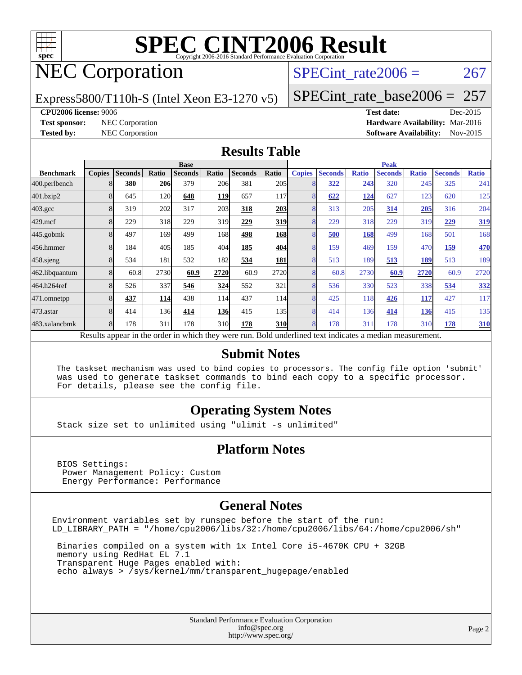

# NEC Corporation

SPECint rate $2006 = 267$ 

Express5800/T110h-S (Intel Xeon E3-1270 v5)

[SPECint\\_rate\\_base2006 =](http://www.spec.org/auto/cpu2006/Docs/result-fields.html#SPECintratebase2006) 257

#### **[CPU2006 license:](http://www.spec.org/auto/cpu2006/Docs/result-fields.html#CPU2006license)** 9006 **[Test date:](http://www.spec.org/auto/cpu2006/Docs/result-fields.html#Testdate)** Dec-2015

**[Test sponsor:](http://www.spec.org/auto/cpu2006/Docs/result-fields.html#Testsponsor)** NEC Corporation **[Hardware Availability:](http://www.spec.org/auto/cpu2006/Docs/result-fields.html#HardwareAvailability)** Mar-2016 **[Tested by:](http://www.spec.org/auto/cpu2006/Docs/result-fields.html#Testedby)** NEC Corporation **[Software Availability:](http://www.spec.org/auto/cpu2006/Docs/result-fields.html#SoftwareAvailability)** Nov-2015

#### **[Results Table](http://www.spec.org/auto/cpu2006/Docs/result-fields.html#ResultsTable)**

|                                                                                                          | <b>Base</b>   |                |       |                |            |                | <b>Peak</b> |                |                |              |                |              |                |              |
|----------------------------------------------------------------------------------------------------------|---------------|----------------|-------|----------------|------------|----------------|-------------|----------------|----------------|--------------|----------------|--------------|----------------|--------------|
| <b>Benchmark</b>                                                                                         | <b>Copies</b> | <b>Seconds</b> | Ratio | <b>Seconds</b> | Ratio      | <b>Seconds</b> | Ratio       | <b>Copies</b>  | <b>Seconds</b> | <b>Ratio</b> | <b>Seconds</b> | <b>Ratio</b> | <b>Seconds</b> | <b>Ratio</b> |
| 400.perlbench                                                                                            |               | 380            | 206   | 379            | 206        | 381            | 205         |                | 322            | 243          | 320            | 245          | 325            | 241          |
| 401.bzip2                                                                                                |               | 645            | 120   | 648            | <b>119</b> | 657            | 117         |                | 622            | 124          | 627            | 123          | 620            | 125          |
| $403.\text{gcc}$                                                                                         |               | 319            | 202   | 317            | 203        | 318            | 203         | 8              | 313            | 205          | 314            | 205          | 316            | 204          |
| $429$ .mcf                                                                                               |               | 229            | 318   | 229            | 319        | 229            | 319         | 8              | 229            | 318          | 229            | 319          | 229            | 319          |
| $445$ .gobmk                                                                                             |               | 497            | 169   | 499            | 168        | 498            | <b>168</b>  |                | 500            | 168          | 499            | 168          | 501            | 168          |
| 456.hmmer                                                                                                |               | 184            | 405   | 185            | 404        | 185            | 404         | 8              | 159            | 469          | 159            | 470          | 159            | 470          |
| $458$ .sjeng                                                                                             |               | 534            | 181   | 532            | 182        | 534            | 181         | $\overline{8}$ | 513            | 189          | 513            | 189          | 513            | 189          |
| 462.libquantum                                                                                           |               | 60.8           | 2730  | 60.9           | 2720       | 60.9           | 2720        | 8              | 60.8           | 2730         | 60.9           | 2720         | 60.9           | 2720         |
| 464.h264ref                                                                                              |               | 526            | 337   | 546            | 324        | 552            | 321         | 8              | 536            | 330          | 523            | 338          | 534            | 332          |
| 471.omnetpp                                                                                              |               | 437            | 114   | 438            | 114        | 437            | 114         |                | 425            | 118          | 426            | <u>117</u>   | 427            | 117          |
| 473.astar                                                                                                | 8             | 414            | 136   | 414            | <b>136</b> | 415            | 135         | 8              | 414            | 136          | 414            | 136          | 415            | 135          |
| 483.xalancbmk                                                                                            |               | 178            | 311   | 178            | 310        | 178            | <b>310</b>  | 8              | 178            | 311          | 178            | 310          | 178            | 310          |
| Results appear in the order in which they were run. Bold underlined text indicates a median measurement. |               |                |       |                |            |                |             |                |                |              |                |              |                |              |

#### **[Submit Notes](http://www.spec.org/auto/cpu2006/Docs/result-fields.html#SubmitNotes)**

 The taskset mechanism was used to bind copies to processors. The config file option 'submit' was used to generate taskset commands to bind each copy to a specific processor. For details, please see the config file.

#### **[Operating System Notes](http://www.spec.org/auto/cpu2006/Docs/result-fields.html#OperatingSystemNotes)**

Stack size set to unlimited using "ulimit -s unlimited"

#### **[Platform Notes](http://www.spec.org/auto/cpu2006/Docs/result-fields.html#PlatformNotes)**

 BIOS Settings: Power Management Policy: Custom Energy Performance: Performance

#### **[General Notes](http://www.spec.org/auto/cpu2006/Docs/result-fields.html#GeneralNotes)**

Environment variables set by runspec before the start of the run: LD\_LIBRARY\_PATH = "/home/cpu2006/libs/32:/home/cpu2006/libs/64:/home/cpu2006/sh"

 Binaries compiled on a system with 1x Intel Core i5-4670K CPU + 32GB memory using RedHat EL 7.1 Transparent Huge Pages enabled with: echo always > /sys/kernel/mm/transparent\_hugepage/enabled

> Standard Performance Evaluation Corporation [info@spec.org](mailto:info@spec.org) <http://www.spec.org/>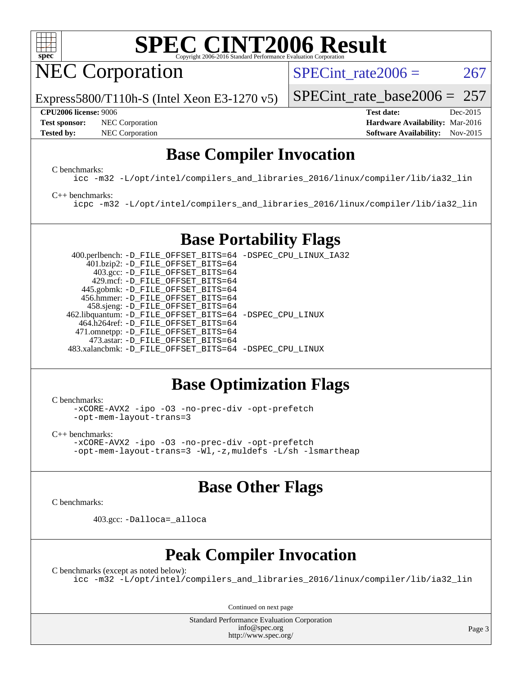

NEC Corporation

SPECint rate $2006 = 267$ 

Express5800/T110h-S (Intel Xeon E3-1270 v5)

#### **[CPU2006 license:](http://www.spec.org/auto/cpu2006/Docs/result-fields.html#CPU2006license)** 9006 **[Test date:](http://www.spec.org/auto/cpu2006/Docs/result-fields.html#Testdate)** Dec-2015

**[Test sponsor:](http://www.spec.org/auto/cpu2006/Docs/result-fields.html#Testsponsor)** NEC Corporation **NEC Corporation [Hardware Availability:](http://www.spec.org/auto/cpu2006/Docs/result-fields.html#HardwareAvailability)** Mar-2016

[SPECint\\_rate\\_base2006 =](http://www.spec.org/auto/cpu2006/Docs/result-fields.html#SPECintratebase2006) 257

**[Tested by:](http://www.spec.org/auto/cpu2006/Docs/result-fields.html#Testedby)** NEC Corporation **[Software Availability:](http://www.spec.org/auto/cpu2006/Docs/result-fields.html#SoftwareAvailability)** Nov-2015

#### **[Base Compiler Invocation](http://www.spec.org/auto/cpu2006/Docs/result-fields.html#BaseCompilerInvocation)**

[C benchmarks](http://www.spec.org/auto/cpu2006/Docs/result-fields.html#Cbenchmarks):

[icc -m32 -L/opt/intel/compilers\\_and\\_libraries\\_2016/linux/compiler/lib/ia32\\_lin](http://www.spec.org/cpu2006/results/res2016q1/cpu2006-20160125-38923.flags.html#user_CCbase_intel_icc_e10256ba5924b668798078a321b0cb3f)

#### [C++ benchmarks:](http://www.spec.org/auto/cpu2006/Docs/result-fields.html#CXXbenchmarks)

[icpc -m32 -L/opt/intel/compilers\\_and\\_libraries\\_2016/linux/compiler/lib/ia32\\_lin](http://www.spec.org/cpu2006/results/res2016q1/cpu2006-20160125-38923.flags.html#user_CXXbase_intel_icpc_b4f50a394bdb4597aa5879c16bc3f5c5)

## **[Base Portability Flags](http://www.spec.org/auto/cpu2006/Docs/result-fields.html#BasePortabilityFlags)**

 400.perlbench: [-D\\_FILE\\_OFFSET\\_BITS=64](http://www.spec.org/cpu2006/results/res2016q1/cpu2006-20160125-38923.flags.html#user_basePORTABILITY400_perlbench_file_offset_bits_64_438cf9856305ebd76870a2c6dc2689ab) [-DSPEC\\_CPU\\_LINUX\\_IA32](http://www.spec.org/cpu2006/results/res2016q1/cpu2006-20160125-38923.flags.html#b400.perlbench_baseCPORTABILITY_DSPEC_CPU_LINUX_IA32) 401.bzip2: [-D\\_FILE\\_OFFSET\\_BITS=64](http://www.spec.org/cpu2006/results/res2016q1/cpu2006-20160125-38923.flags.html#user_basePORTABILITY401_bzip2_file_offset_bits_64_438cf9856305ebd76870a2c6dc2689ab) 403.gcc: [-D\\_FILE\\_OFFSET\\_BITS=64](http://www.spec.org/cpu2006/results/res2016q1/cpu2006-20160125-38923.flags.html#user_basePORTABILITY403_gcc_file_offset_bits_64_438cf9856305ebd76870a2c6dc2689ab) 429.mcf: [-D\\_FILE\\_OFFSET\\_BITS=64](http://www.spec.org/cpu2006/results/res2016q1/cpu2006-20160125-38923.flags.html#user_basePORTABILITY429_mcf_file_offset_bits_64_438cf9856305ebd76870a2c6dc2689ab) 445.gobmk: [-D\\_FILE\\_OFFSET\\_BITS=64](http://www.spec.org/cpu2006/results/res2016q1/cpu2006-20160125-38923.flags.html#user_basePORTABILITY445_gobmk_file_offset_bits_64_438cf9856305ebd76870a2c6dc2689ab) 456.hmmer: [-D\\_FILE\\_OFFSET\\_BITS=64](http://www.spec.org/cpu2006/results/res2016q1/cpu2006-20160125-38923.flags.html#user_basePORTABILITY456_hmmer_file_offset_bits_64_438cf9856305ebd76870a2c6dc2689ab) 458.sjeng: [-D\\_FILE\\_OFFSET\\_BITS=64](http://www.spec.org/cpu2006/results/res2016q1/cpu2006-20160125-38923.flags.html#user_basePORTABILITY458_sjeng_file_offset_bits_64_438cf9856305ebd76870a2c6dc2689ab) 462.libquantum: [-D\\_FILE\\_OFFSET\\_BITS=64](http://www.spec.org/cpu2006/results/res2016q1/cpu2006-20160125-38923.flags.html#user_basePORTABILITY462_libquantum_file_offset_bits_64_438cf9856305ebd76870a2c6dc2689ab) [-DSPEC\\_CPU\\_LINUX](http://www.spec.org/cpu2006/results/res2016q1/cpu2006-20160125-38923.flags.html#b462.libquantum_baseCPORTABILITY_DSPEC_CPU_LINUX) 464.h264ref: [-D\\_FILE\\_OFFSET\\_BITS=64](http://www.spec.org/cpu2006/results/res2016q1/cpu2006-20160125-38923.flags.html#user_basePORTABILITY464_h264ref_file_offset_bits_64_438cf9856305ebd76870a2c6dc2689ab) 471.omnetpp: [-D\\_FILE\\_OFFSET\\_BITS=64](http://www.spec.org/cpu2006/results/res2016q1/cpu2006-20160125-38923.flags.html#user_basePORTABILITY471_omnetpp_file_offset_bits_64_438cf9856305ebd76870a2c6dc2689ab) 473.astar: [-D\\_FILE\\_OFFSET\\_BITS=64](http://www.spec.org/cpu2006/results/res2016q1/cpu2006-20160125-38923.flags.html#user_basePORTABILITY473_astar_file_offset_bits_64_438cf9856305ebd76870a2c6dc2689ab) 483.xalancbmk: [-D\\_FILE\\_OFFSET\\_BITS=64](http://www.spec.org/cpu2006/results/res2016q1/cpu2006-20160125-38923.flags.html#user_basePORTABILITY483_xalancbmk_file_offset_bits_64_438cf9856305ebd76870a2c6dc2689ab) [-DSPEC\\_CPU\\_LINUX](http://www.spec.org/cpu2006/results/res2016q1/cpu2006-20160125-38923.flags.html#b483.xalancbmk_baseCXXPORTABILITY_DSPEC_CPU_LINUX)

### **[Base Optimization Flags](http://www.spec.org/auto/cpu2006/Docs/result-fields.html#BaseOptimizationFlags)**

[C benchmarks](http://www.spec.org/auto/cpu2006/Docs/result-fields.html#Cbenchmarks):

[-xCORE-AVX2](http://www.spec.org/cpu2006/results/res2016q1/cpu2006-20160125-38923.flags.html#user_CCbase_f-xAVX2_5f5fc0cbe2c9f62c816d3e45806c70d7) [-ipo](http://www.spec.org/cpu2006/results/res2016q1/cpu2006-20160125-38923.flags.html#user_CCbase_f-ipo) [-O3](http://www.spec.org/cpu2006/results/res2016q1/cpu2006-20160125-38923.flags.html#user_CCbase_f-O3) [-no-prec-div](http://www.spec.org/cpu2006/results/res2016q1/cpu2006-20160125-38923.flags.html#user_CCbase_f-no-prec-div) [-opt-prefetch](http://www.spec.org/cpu2006/results/res2016q1/cpu2006-20160125-38923.flags.html#user_CCbase_f-opt-prefetch) [-opt-mem-layout-trans=3](http://www.spec.org/cpu2006/results/res2016q1/cpu2006-20160125-38923.flags.html#user_CCbase_f-opt-mem-layout-trans_a7b82ad4bd7abf52556d4961a2ae94d5)

[C++ benchmarks:](http://www.spec.org/auto/cpu2006/Docs/result-fields.html#CXXbenchmarks) [-xCORE-AVX2](http://www.spec.org/cpu2006/results/res2016q1/cpu2006-20160125-38923.flags.html#user_CXXbase_f-xAVX2_5f5fc0cbe2c9f62c816d3e45806c70d7) [-ipo](http://www.spec.org/cpu2006/results/res2016q1/cpu2006-20160125-38923.flags.html#user_CXXbase_f-ipo) [-O3](http://www.spec.org/cpu2006/results/res2016q1/cpu2006-20160125-38923.flags.html#user_CXXbase_f-O3) [-no-prec-div](http://www.spec.org/cpu2006/results/res2016q1/cpu2006-20160125-38923.flags.html#user_CXXbase_f-no-prec-div) [-opt-prefetch](http://www.spec.org/cpu2006/results/res2016q1/cpu2006-20160125-38923.flags.html#user_CXXbase_f-opt-prefetch) [-opt-mem-layout-trans=3](http://www.spec.org/cpu2006/results/res2016q1/cpu2006-20160125-38923.flags.html#user_CXXbase_f-opt-mem-layout-trans_a7b82ad4bd7abf52556d4961a2ae94d5) [-Wl,-z,muldefs](http://www.spec.org/cpu2006/results/res2016q1/cpu2006-20160125-38923.flags.html#user_CXXbase_link_force_multiple1_74079c344b956b9658436fd1b6dd3a8a) [-L/sh -lsmartheap](http://www.spec.org/cpu2006/results/res2016q1/cpu2006-20160125-38923.flags.html#user_CXXbase_SmartHeap_32f6c82aa1ed9c52345d30cf6e4a0499)

### **[Base Other Flags](http://www.spec.org/auto/cpu2006/Docs/result-fields.html#BaseOtherFlags)**

[C benchmarks](http://www.spec.org/auto/cpu2006/Docs/result-fields.html#Cbenchmarks):

403.gcc: [-Dalloca=\\_alloca](http://www.spec.org/cpu2006/results/res2016q1/cpu2006-20160125-38923.flags.html#b403.gcc_baseEXTRA_CFLAGS_Dalloca_be3056838c12de2578596ca5467af7f3)

### **[Peak Compiler Invocation](http://www.spec.org/auto/cpu2006/Docs/result-fields.html#PeakCompilerInvocation)**

[C benchmarks \(except as noted below\)](http://www.spec.org/auto/cpu2006/Docs/result-fields.html#Cbenchmarksexceptasnotedbelow): [icc -m32 -L/opt/intel/compilers\\_and\\_libraries\\_2016/linux/compiler/lib/ia32\\_lin](http://www.spec.org/cpu2006/results/res2016q1/cpu2006-20160125-38923.flags.html#user_CCpeak_intel_icc_e10256ba5924b668798078a321b0cb3f)

Continued on next page

Standard Performance Evaluation Corporation [info@spec.org](mailto:info@spec.org) <http://www.spec.org/>

Page 3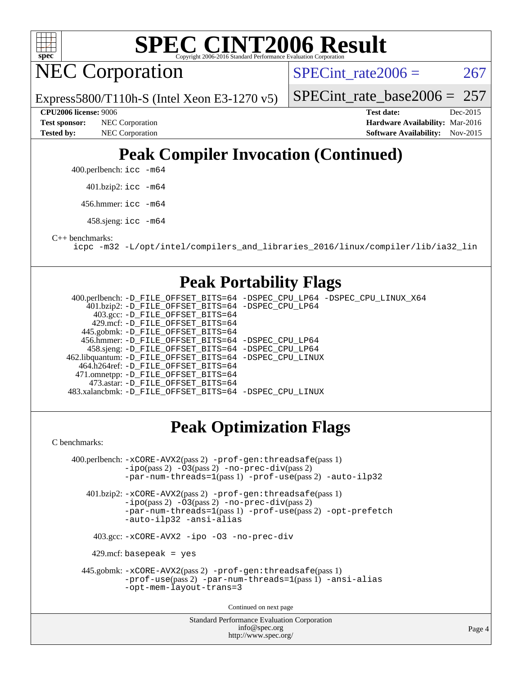

NEC Corporation

SPECint rate $2006 = 267$ 

Express5800/T110h-S (Intel Xeon E3-1270 v5) [SPECint\\_rate\\_base2006 =](http://www.spec.org/auto/cpu2006/Docs/result-fields.html#SPECintratebase2006)  $257$ 

**[Tested by:](http://www.spec.org/auto/cpu2006/Docs/result-fields.html#Testedby)** NEC Corporation **[Software Availability:](http://www.spec.org/auto/cpu2006/Docs/result-fields.html#SoftwareAvailability)** Nov-2015

**[CPU2006 license:](http://www.spec.org/auto/cpu2006/Docs/result-fields.html#CPU2006license)** 9006 **[Test date:](http://www.spec.org/auto/cpu2006/Docs/result-fields.html#Testdate)** Dec-2015 **[Test sponsor:](http://www.spec.org/auto/cpu2006/Docs/result-fields.html#Testsponsor)** NEC Corporation **NEC Corporation [Hardware Availability:](http://www.spec.org/auto/cpu2006/Docs/result-fields.html#HardwareAvailability)** Mar-2016

## **[Peak Compiler Invocation \(Continued\)](http://www.spec.org/auto/cpu2006/Docs/result-fields.html#PeakCompilerInvocation)**

400.perlbench: [icc -m64](http://www.spec.org/cpu2006/results/res2016q1/cpu2006-20160125-38923.flags.html#user_peakCCLD400_perlbench_intel_icc_64bit_bda6cc9af1fdbb0edc3795bac97ada53)

401.bzip2: [icc -m64](http://www.spec.org/cpu2006/results/res2016q1/cpu2006-20160125-38923.flags.html#user_peakCCLD401_bzip2_intel_icc_64bit_bda6cc9af1fdbb0edc3795bac97ada53)

456.hmmer: [icc -m64](http://www.spec.org/cpu2006/results/res2016q1/cpu2006-20160125-38923.flags.html#user_peakCCLD456_hmmer_intel_icc_64bit_bda6cc9af1fdbb0edc3795bac97ada53)

458.sjeng: [icc -m64](http://www.spec.org/cpu2006/results/res2016q1/cpu2006-20160125-38923.flags.html#user_peakCCLD458_sjeng_intel_icc_64bit_bda6cc9af1fdbb0edc3795bac97ada53)

[C++ benchmarks:](http://www.spec.org/auto/cpu2006/Docs/result-fields.html#CXXbenchmarks)

[icpc -m32 -L/opt/intel/compilers\\_and\\_libraries\\_2016/linux/compiler/lib/ia32\\_lin](http://www.spec.org/cpu2006/results/res2016q1/cpu2006-20160125-38923.flags.html#user_CXXpeak_intel_icpc_b4f50a394bdb4597aa5879c16bc3f5c5)

#### **[Peak Portability Flags](http://www.spec.org/auto/cpu2006/Docs/result-fields.html#PeakPortabilityFlags)**

 400.perlbench: [-D\\_FILE\\_OFFSET\\_BITS=64](http://www.spec.org/cpu2006/results/res2016q1/cpu2006-20160125-38923.flags.html#user_peakPORTABILITY400_perlbench_file_offset_bits_64_438cf9856305ebd76870a2c6dc2689ab) [-DSPEC\\_CPU\\_LP64](http://www.spec.org/cpu2006/results/res2016q1/cpu2006-20160125-38923.flags.html#b400.perlbench_peakCPORTABILITY_DSPEC_CPU_LP64) [-DSPEC\\_CPU\\_LINUX\\_X64](http://www.spec.org/cpu2006/results/res2016q1/cpu2006-20160125-38923.flags.html#b400.perlbench_peakCPORTABILITY_DSPEC_CPU_LINUX_X64) 401.bzip2: [-D\\_FILE\\_OFFSET\\_BITS=64](http://www.spec.org/cpu2006/results/res2016q1/cpu2006-20160125-38923.flags.html#user_peakPORTABILITY401_bzip2_file_offset_bits_64_438cf9856305ebd76870a2c6dc2689ab) [-DSPEC\\_CPU\\_LP64](http://www.spec.org/cpu2006/results/res2016q1/cpu2006-20160125-38923.flags.html#suite_peakCPORTABILITY401_bzip2_DSPEC_CPU_LP64) 403.gcc: [-D\\_FILE\\_OFFSET\\_BITS=64](http://www.spec.org/cpu2006/results/res2016q1/cpu2006-20160125-38923.flags.html#user_peakPORTABILITY403_gcc_file_offset_bits_64_438cf9856305ebd76870a2c6dc2689ab) 429.mcf: [-D\\_FILE\\_OFFSET\\_BITS=64](http://www.spec.org/cpu2006/results/res2016q1/cpu2006-20160125-38923.flags.html#user_peakPORTABILITY429_mcf_file_offset_bits_64_438cf9856305ebd76870a2c6dc2689ab) 445.gobmk: [-D\\_FILE\\_OFFSET\\_BITS=64](http://www.spec.org/cpu2006/results/res2016q1/cpu2006-20160125-38923.flags.html#user_peakPORTABILITY445_gobmk_file_offset_bits_64_438cf9856305ebd76870a2c6dc2689ab) 456.hmmer: [-D\\_FILE\\_OFFSET\\_BITS=64](http://www.spec.org/cpu2006/results/res2016q1/cpu2006-20160125-38923.flags.html#user_peakPORTABILITY456_hmmer_file_offset_bits_64_438cf9856305ebd76870a2c6dc2689ab) [-DSPEC\\_CPU\\_LP64](http://www.spec.org/cpu2006/results/res2016q1/cpu2006-20160125-38923.flags.html#suite_peakCPORTABILITY456_hmmer_DSPEC_CPU_LP64) 458.sjeng: [-D\\_FILE\\_OFFSET\\_BITS=64](http://www.spec.org/cpu2006/results/res2016q1/cpu2006-20160125-38923.flags.html#user_peakPORTABILITY458_sjeng_file_offset_bits_64_438cf9856305ebd76870a2c6dc2689ab) [-DSPEC\\_CPU\\_LP64](http://www.spec.org/cpu2006/results/res2016q1/cpu2006-20160125-38923.flags.html#suite_peakCPORTABILITY458_sjeng_DSPEC_CPU_LP64) 462.libquantum: [-D\\_FILE\\_OFFSET\\_BITS=64](http://www.spec.org/cpu2006/results/res2016q1/cpu2006-20160125-38923.flags.html#user_peakPORTABILITY462_libquantum_file_offset_bits_64_438cf9856305ebd76870a2c6dc2689ab) [-DSPEC\\_CPU\\_LINUX](http://www.spec.org/cpu2006/results/res2016q1/cpu2006-20160125-38923.flags.html#b462.libquantum_peakCPORTABILITY_DSPEC_CPU_LINUX) 464.h264ref: [-D\\_FILE\\_OFFSET\\_BITS=64](http://www.spec.org/cpu2006/results/res2016q1/cpu2006-20160125-38923.flags.html#user_peakPORTABILITY464_h264ref_file_offset_bits_64_438cf9856305ebd76870a2c6dc2689ab) 471.omnetpp: [-D\\_FILE\\_OFFSET\\_BITS=64](http://www.spec.org/cpu2006/results/res2016q1/cpu2006-20160125-38923.flags.html#user_peakPORTABILITY471_omnetpp_file_offset_bits_64_438cf9856305ebd76870a2c6dc2689ab) 473.astar: [-D\\_FILE\\_OFFSET\\_BITS=64](http://www.spec.org/cpu2006/results/res2016q1/cpu2006-20160125-38923.flags.html#user_peakPORTABILITY473_astar_file_offset_bits_64_438cf9856305ebd76870a2c6dc2689ab) 483.xalancbmk: [-D\\_FILE\\_OFFSET\\_BITS=64](http://www.spec.org/cpu2006/results/res2016q1/cpu2006-20160125-38923.flags.html#user_peakPORTABILITY483_xalancbmk_file_offset_bits_64_438cf9856305ebd76870a2c6dc2689ab) [-DSPEC\\_CPU\\_LINUX](http://www.spec.org/cpu2006/results/res2016q1/cpu2006-20160125-38923.flags.html#b483.xalancbmk_peakCXXPORTABILITY_DSPEC_CPU_LINUX)

## **[Peak Optimization Flags](http://www.spec.org/auto/cpu2006/Docs/result-fields.html#PeakOptimizationFlags)**

[C benchmarks](http://www.spec.org/auto/cpu2006/Docs/result-fields.html#Cbenchmarks):

Standard Performance Evaluation Corporation 400.perlbench: [-xCORE-AVX2](http://www.spec.org/cpu2006/results/res2016q1/cpu2006-20160125-38923.flags.html#user_peakPASS2_CFLAGSPASS2_LDCFLAGS400_perlbench_f-xAVX2_5f5fc0cbe2c9f62c816d3e45806c70d7)(pass 2) [-prof-gen:threadsafe](http://www.spec.org/cpu2006/results/res2016q1/cpu2006-20160125-38923.flags.html#user_peakPASS1_CFLAGSPASS1_LDCFLAGS400_perlbench_prof_gen_21a26eb79f378b550acd7bec9fe4467a)(pass 1) [-ipo](http://www.spec.org/cpu2006/results/res2016q1/cpu2006-20160125-38923.flags.html#user_peakPASS2_CFLAGSPASS2_LDCFLAGS400_perlbench_f-ipo)(pass 2) [-O3](http://www.spec.org/cpu2006/results/res2016q1/cpu2006-20160125-38923.flags.html#user_peakPASS2_CFLAGSPASS2_LDCFLAGS400_perlbench_f-O3)(pass 2) [-no-prec-div](http://www.spec.org/cpu2006/results/res2016q1/cpu2006-20160125-38923.flags.html#user_peakPASS2_CFLAGSPASS2_LDCFLAGS400_perlbench_f-no-prec-div)(pass 2) [-par-num-threads=1](http://www.spec.org/cpu2006/results/res2016q1/cpu2006-20160125-38923.flags.html#user_peakPASS1_CFLAGSPASS1_LDCFLAGS400_perlbench_par_num_threads_786a6ff141b4e9e90432e998842df6c2)(pass 1) [-prof-use](http://www.spec.org/cpu2006/results/res2016q1/cpu2006-20160125-38923.flags.html#user_peakPASS2_CFLAGSPASS2_LDCFLAGS400_perlbench_prof_use_bccf7792157ff70d64e32fe3e1250b55)(pass 2) [-auto-ilp32](http://www.spec.org/cpu2006/results/res2016q1/cpu2006-20160125-38923.flags.html#user_peakCOPTIMIZE400_perlbench_f-auto-ilp32) 401.bzip2: [-xCORE-AVX2](http://www.spec.org/cpu2006/results/res2016q1/cpu2006-20160125-38923.flags.html#user_peakPASS2_CFLAGSPASS2_LDCFLAGS401_bzip2_f-xAVX2_5f5fc0cbe2c9f62c816d3e45806c70d7)(pass 2) [-prof-gen:threadsafe](http://www.spec.org/cpu2006/results/res2016q1/cpu2006-20160125-38923.flags.html#user_peakPASS1_CFLAGSPASS1_LDCFLAGS401_bzip2_prof_gen_21a26eb79f378b550acd7bec9fe4467a)(pass 1) [-ipo](http://www.spec.org/cpu2006/results/res2016q1/cpu2006-20160125-38923.flags.html#user_peakPASS2_CFLAGSPASS2_LDCFLAGS401_bzip2_f-ipo)(pass 2) [-O3](http://www.spec.org/cpu2006/results/res2016q1/cpu2006-20160125-38923.flags.html#user_peakPASS2_CFLAGSPASS2_LDCFLAGS401_bzip2_f-O3)(pass 2) [-no-prec-div](http://www.spec.org/cpu2006/results/res2016q1/cpu2006-20160125-38923.flags.html#user_peakPASS2_CFLAGSPASS2_LDCFLAGS401_bzip2_f-no-prec-div)(pass 2) [-par-num-threads=1](http://www.spec.org/cpu2006/results/res2016q1/cpu2006-20160125-38923.flags.html#user_peakPASS1_CFLAGSPASS1_LDCFLAGS401_bzip2_par_num_threads_786a6ff141b4e9e90432e998842df6c2)(pass 1) [-prof-use](http://www.spec.org/cpu2006/results/res2016q1/cpu2006-20160125-38923.flags.html#user_peakPASS2_CFLAGSPASS2_LDCFLAGS401_bzip2_prof_use_bccf7792157ff70d64e32fe3e1250b55)(pass 2) [-opt-prefetch](http://www.spec.org/cpu2006/results/res2016q1/cpu2006-20160125-38923.flags.html#user_peakCOPTIMIZE401_bzip2_f-opt-prefetch) [-auto-ilp32](http://www.spec.org/cpu2006/results/res2016q1/cpu2006-20160125-38923.flags.html#user_peakCOPTIMIZE401_bzip2_f-auto-ilp32) [-ansi-alias](http://www.spec.org/cpu2006/results/res2016q1/cpu2006-20160125-38923.flags.html#user_peakCOPTIMIZE401_bzip2_f-ansi-alias) 403.gcc: [-xCORE-AVX2](http://www.spec.org/cpu2006/results/res2016q1/cpu2006-20160125-38923.flags.html#user_peakCOPTIMIZE403_gcc_f-xAVX2_5f5fc0cbe2c9f62c816d3e45806c70d7) [-ipo](http://www.spec.org/cpu2006/results/res2016q1/cpu2006-20160125-38923.flags.html#user_peakCOPTIMIZE403_gcc_f-ipo) [-O3](http://www.spec.org/cpu2006/results/res2016q1/cpu2006-20160125-38923.flags.html#user_peakCOPTIMIZE403_gcc_f-O3) [-no-prec-div](http://www.spec.org/cpu2006/results/res2016q1/cpu2006-20160125-38923.flags.html#user_peakCOPTIMIZE403_gcc_f-no-prec-div)  $429$ .mcf: basepeak = yes 445.gobmk: [-xCORE-AVX2](http://www.spec.org/cpu2006/results/res2016q1/cpu2006-20160125-38923.flags.html#user_peakPASS2_CFLAGSPASS2_LDCFLAGS445_gobmk_f-xAVX2_5f5fc0cbe2c9f62c816d3e45806c70d7)(pass 2) [-prof-gen:threadsafe](http://www.spec.org/cpu2006/results/res2016q1/cpu2006-20160125-38923.flags.html#user_peakPASS1_CFLAGSPASS1_LDCFLAGS445_gobmk_prof_gen_21a26eb79f378b550acd7bec9fe4467a)(pass 1) [-prof-use](http://www.spec.org/cpu2006/results/res2016q1/cpu2006-20160125-38923.flags.html#user_peakPASS2_CFLAGSPASS2_LDCFLAGS445_gobmk_prof_use_bccf7792157ff70d64e32fe3e1250b55)(pass 2) [-par-num-threads=1](http://www.spec.org/cpu2006/results/res2016q1/cpu2006-20160125-38923.flags.html#user_peakPASS1_CFLAGSPASS1_LDCFLAGS445_gobmk_par_num_threads_786a6ff141b4e9e90432e998842df6c2)(pass 1) [-ansi-alias](http://www.spec.org/cpu2006/results/res2016q1/cpu2006-20160125-38923.flags.html#user_peakCOPTIMIZE445_gobmk_f-ansi-alias) [-opt-mem-layout-trans=3](http://www.spec.org/cpu2006/results/res2016q1/cpu2006-20160125-38923.flags.html#user_peakCOPTIMIZE445_gobmk_f-opt-mem-layout-trans_a7b82ad4bd7abf52556d4961a2ae94d5) Continued on next page

[info@spec.org](mailto:info@spec.org) <http://www.spec.org/>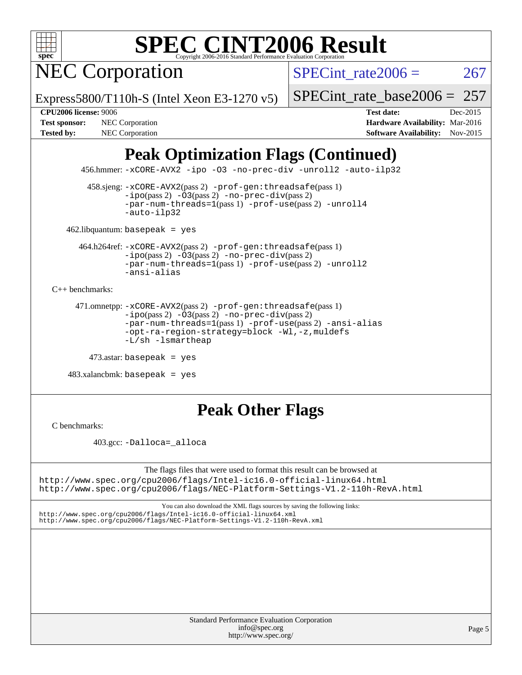

NEC Corporation

SPECint rate $2006 = 267$ 

Express5800/T110h-S (Intel Xeon E3-1270 v5)

[SPECint\\_rate\\_base2006 =](http://www.spec.org/auto/cpu2006/Docs/result-fields.html#SPECintratebase2006) 257

**[CPU2006 license:](http://www.spec.org/auto/cpu2006/Docs/result-fields.html#CPU2006license)** 9006 **[Test date:](http://www.spec.org/auto/cpu2006/Docs/result-fields.html#Testdate)** Dec-2015 **[Test sponsor:](http://www.spec.org/auto/cpu2006/Docs/result-fields.html#Testsponsor)** NEC Corporation **NEC Corporation [Hardware Availability:](http://www.spec.org/auto/cpu2006/Docs/result-fields.html#HardwareAvailability)** Mar-2016 [Tested by:](http://www.spec.org/auto/cpu2006/Docs/result-fields.html#Testedby) NEC Corporation **[Software Availability:](http://www.spec.org/auto/cpu2006/Docs/result-fields.html#SoftwareAvailability)** Nov-2015

## **[Peak Optimization Flags \(Continued\)](http://www.spec.org/auto/cpu2006/Docs/result-fields.html#PeakOptimizationFlags)**

456.hmmer: [-xCORE-AVX2](http://www.spec.org/cpu2006/results/res2016q1/cpu2006-20160125-38923.flags.html#user_peakCOPTIMIZE456_hmmer_f-xAVX2_5f5fc0cbe2c9f62c816d3e45806c70d7) [-ipo](http://www.spec.org/cpu2006/results/res2016q1/cpu2006-20160125-38923.flags.html#user_peakCOPTIMIZE456_hmmer_f-ipo) [-O3](http://www.spec.org/cpu2006/results/res2016q1/cpu2006-20160125-38923.flags.html#user_peakCOPTIMIZE456_hmmer_f-O3) [-no-prec-div](http://www.spec.org/cpu2006/results/res2016q1/cpu2006-20160125-38923.flags.html#user_peakCOPTIMIZE456_hmmer_f-no-prec-div) [-unroll2](http://www.spec.org/cpu2006/results/res2016q1/cpu2006-20160125-38923.flags.html#user_peakCOPTIMIZE456_hmmer_f-unroll_784dae83bebfb236979b41d2422d7ec2) [-auto-ilp32](http://www.spec.org/cpu2006/results/res2016q1/cpu2006-20160125-38923.flags.html#user_peakCOPTIMIZE456_hmmer_f-auto-ilp32)

 458.sjeng: [-xCORE-AVX2](http://www.spec.org/cpu2006/results/res2016q1/cpu2006-20160125-38923.flags.html#user_peakPASS2_CFLAGSPASS2_LDCFLAGS458_sjeng_f-xAVX2_5f5fc0cbe2c9f62c816d3e45806c70d7)(pass 2) [-prof-gen:threadsafe](http://www.spec.org/cpu2006/results/res2016q1/cpu2006-20160125-38923.flags.html#user_peakPASS1_CFLAGSPASS1_LDCFLAGS458_sjeng_prof_gen_21a26eb79f378b550acd7bec9fe4467a)(pass 1)  $-i\text{po}(pass 2) -03(pass 2) -no-prec-div(pass 2)$  $-i\text{po}(pass 2) -03(pass 2) -no-prec-div(pass 2)$  $-i\text{po}(pass 2) -03(pass 2) -no-prec-div(pass 2)$ [-par-num-threads=1](http://www.spec.org/cpu2006/results/res2016q1/cpu2006-20160125-38923.flags.html#user_peakPASS1_CFLAGSPASS1_LDCFLAGS458_sjeng_par_num_threads_786a6ff141b4e9e90432e998842df6c2)(pass 1) [-prof-use](http://www.spec.org/cpu2006/results/res2016q1/cpu2006-20160125-38923.flags.html#user_peakPASS2_CFLAGSPASS2_LDCFLAGS458_sjeng_prof_use_bccf7792157ff70d64e32fe3e1250b55)(pass 2) [-unroll4](http://www.spec.org/cpu2006/results/res2016q1/cpu2006-20160125-38923.flags.html#user_peakCOPTIMIZE458_sjeng_f-unroll_4e5e4ed65b7fd20bdcd365bec371b81f) [-auto-ilp32](http://www.spec.org/cpu2006/results/res2016q1/cpu2006-20160125-38923.flags.html#user_peakCOPTIMIZE458_sjeng_f-auto-ilp32)

462.libquantum: basepeak = yes

 464.h264ref: [-xCORE-AVX2](http://www.spec.org/cpu2006/results/res2016q1/cpu2006-20160125-38923.flags.html#user_peakPASS2_CFLAGSPASS2_LDCFLAGS464_h264ref_f-xAVX2_5f5fc0cbe2c9f62c816d3e45806c70d7)(pass 2) [-prof-gen:threadsafe](http://www.spec.org/cpu2006/results/res2016q1/cpu2006-20160125-38923.flags.html#user_peakPASS1_CFLAGSPASS1_LDCFLAGS464_h264ref_prof_gen_21a26eb79f378b550acd7bec9fe4467a)(pass 1)  $-i\text{po}(pass 2) -\overline{O}3(pass 2)$  [-no-prec-div](http://www.spec.org/cpu2006/results/res2016q1/cpu2006-20160125-38923.flags.html#user_peakPASS2_CFLAGSPASS2_LDCFLAGS464_h264ref_f-no-prec-div)(pass 2) [-par-num-threads=1](http://www.spec.org/cpu2006/results/res2016q1/cpu2006-20160125-38923.flags.html#user_peakPASS1_CFLAGSPASS1_LDCFLAGS464_h264ref_par_num_threads_786a6ff141b4e9e90432e998842df6c2)(pass 1) [-prof-use](http://www.spec.org/cpu2006/results/res2016q1/cpu2006-20160125-38923.flags.html#user_peakPASS2_CFLAGSPASS2_LDCFLAGS464_h264ref_prof_use_bccf7792157ff70d64e32fe3e1250b55)(pass 2) [-unroll2](http://www.spec.org/cpu2006/results/res2016q1/cpu2006-20160125-38923.flags.html#user_peakCOPTIMIZE464_h264ref_f-unroll_784dae83bebfb236979b41d2422d7ec2) [-ansi-alias](http://www.spec.org/cpu2006/results/res2016q1/cpu2006-20160125-38923.flags.html#user_peakCOPTIMIZE464_h264ref_f-ansi-alias)

[C++ benchmarks:](http://www.spec.org/auto/cpu2006/Docs/result-fields.html#CXXbenchmarks)

```
 471.omnetpp: -xCORE-AVX2(pass 2) -prof-gen:threadsafe(pass 1)
-ipo(pass 2) -O3(pass 2) -no-prec-div(pass 2)
-par-num-threads=1(pass 1) -prof-use(pass 2) -ansi-alias
-opt-ra-region-strategy=block -Wl,-z,muldefs
-L/sh -lsmartheap
```
473.astar: basepeak = yes

 $483.xalanchmk: basepeak = yes$ 

## **[Peak Other Flags](http://www.spec.org/auto/cpu2006/Docs/result-fields.html#PeakOtherFlags)**

[C benchmarks](http://www.spec.org/auto/cpu2006/Docs/result-fields.html#Cbenchmarks):

403.gcc: [-Dalloca=\\_alloca](http://www.spec.org/cpu2006/results/res2016q1/cpu2006-20160125-38923.flags.html#b403.gcc_peakEXTRA_CFLAGS_Dalloca_be3056838c12de2578596ca5467af7f3)

The flags files that were used to format this result can be browsed at <http://www.spec.org/cpu2006/flags/Intel-ic16.0-official-linux64.html> <http://www.spec.org/cpu2006/flags/NEC-Platform-Settings-V1.2-110h-RevA.html>

You can also download the XML flags sources by saving the following links:

<http://www.spec.org/cpu2006/flags/Intel-ic16.0-official-linux64.xml> <http://www.spec.org/cpu2006/flags/NEC-Platform-Settings-V1.2-110h-RevA.xml>

> Standard Performance Evaluation Corporation [info@spec.org](mailto:info@spec.org) <http://www.spec.org/>